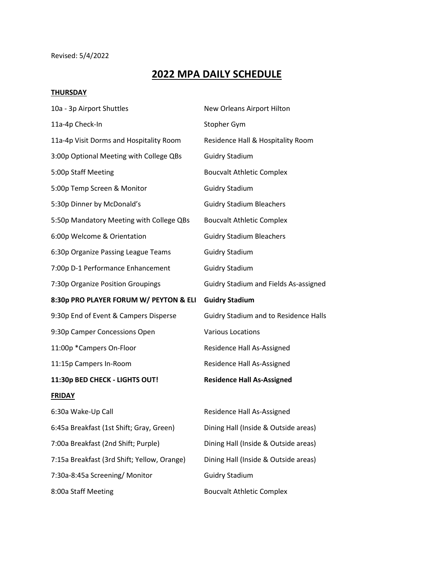## Revised: 5/4/2022

## **2022 MPA DAILY SCHEDULE**

## **THURSDAY**

| 10a - 3p Airport Shuttles                   | New Orleans Airport Hilton                   |
|---------------------------------------------|----------------------------------------------|
| 11a-4p Check-In                             | Stopher Gym                                  |
| 11a-4p Visit Dorms and Hospitality Room     | Residence Hall & Hospitality Room            |
| 3:00p Optional Meeting with College QBs     | <b>Guidry Stadium</b>                        |
| 5:00p Staff Meeting                         | <b>Boucvalt Athletic Complex</b>             |
| 5:00p Temp Screen & Monitor                 | <b>Guidry Stadium</b>                        |
| 5:30p Dinner by McDonald's                  | <b>Guidry Stadium Bleachers</b>              |
| 5:50p Mandatory Meeting with College QBs    | <b>Boucvalt Athletic Complex</b>             |
| 6:00p Welcome & Orientation                 | <b>Guidry Stadium Bleachers</b>              |
| 6:30p Organize Passing League Teams         | <b>Guidry Stadium</b>                        |
| 7:00p D-1 Performance Enhancement           | <b>Guidry Stadium</b>                        |
| 7:30p Organize Position Groupings           | <b>Guidry Stadium and Fields As-assigned</b> |
| 8:30p PRO PLAYER FORUM W/ PEYTON & ELI      | <b>Guidry Stadium</b>                        |
| 9:30p End of Event & Campers Disperse       | <b>Guidry Stadium and to Residence Halls</b> |
| 9:30p Camper Concessions Open               | <b>Various Locations</b>                     |
| 11:00p *Campers On-Floor                    | Residence Hall As-Assigned                   |
| 11:15p Campers In-Room                      | Residence Hall As-Assigned                   |
| 11:30p BED CHECK - LIGHTS OUT!              | <b>Residence Hall As-Assigned</b>            |
| <b>FRIDAY</b>                               |                                              |
| 6:30a Wake-Up Call                          | Residence Hall As-Assigned                   |
| 6:45a Breakfast (1st Shift; Gray, Green)    | Dining Hall (Inside & Outside areas)         |
| 7:00a Breakfast (2nd Shift; Purple)         | Dining Hall (Inside & Outside areas)         |
| 7:15a Breakfast (3rd Shift; Yellow, Orange) | Dining Hall (Inside & Outside areas)         |
| 7:30a-8:45a Screening/ Monitor              | <b>Guidry Stadium</b>                        |
| 8:00a Staff Meeting                         | <b>Boucvalt Athletic Complex</b>             |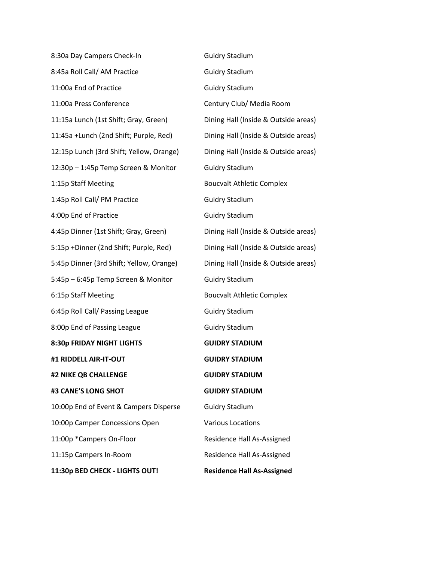| 8:30a Day Campers Check-In               | <b>Guidry Stadium</b>                |
|------------------------------------------|--------------------------------------|
| 8:45a Roll Call/ AM Practice             | <b>Guidry Stadium</b>                |
| 11:00a End of Practice                   | <b>Guidry Stadium</b>                |
| 11:00a Press Conference                  | Century Club/ Media Room             |
| 11:15a Lunch (1st Shift; Gray, Green)    | Dining Hall (Inside & Outside areas) |
| 11:45a +Lunch (2nd Shift; Purple, Red)   | Dining Hall (Inside & Outside areas) |
| 12:15p Lunch (3rd Shift; Yellow, Orange) | Dining Hall (Inside & Outside areas) |
| 12:30p - 1:45p Temp Screen & Monitor     | <b>Guidry Stadium</b>                |
| 1:15p Staff Meeting                      | <b>Boucvalt Athletic Complex</b>     |
| 1:45p Roll Call/ PM Practice             | <b>Guidry Stadium</b>                |
| 4:00p End of Practice                    | <b>Guidry Stadium</b>                |
| 4:45p Dinner (1st Shift; Gray, Green)    | Dining Hall (Inside & Outside areas) |
| 5:15p +Dinner (2nd Shift; Purple, Red)   | Dining Hall (Inside & Outside areas) |
| 5:45p Dinner (3rd Shift; Yellow, Orange) | Dining Hall (Inside & Outside areas) |
| 5:45p - 6:45p Temp Screen & Monitor      | <b>Guidry Stadium</b>                |
| 6:15p Staff Meeting                      | <b>Boucvalt Athletic Complex</b>     |
| 6:45p Roll Call/ Passing League          | <b>Guidry Stadium</b>                |
| 8:00p End of Passing League              | <b>Guidry Stadium</b>                |
| 8:30p FRIDAY NIGHT LIGHTS                | <b>GUIDRY STADIUM</b>                |
| #1 RIDDELL AIR-IT-OUT                    | <b>GUIDRY STADIUM</b>                |
| #2 NIKE QB CHALLENGE                     | <b>GUIDRY STADIUM</b>                |
| #3 CANE'S LONG SHOT                      | <b>GUIDRY STADIUM</b>                |
| 10:00p End of Event & Campers Disperse   | <b>Guidry Stadium</b>                |
| 10:00p Camper Concessions Open           | <b>Various Locations</b>             |
| 11:00p *Campers On-Floor                 | Residence Hall As-Assigned           |
| 11:15p Campers In-Room                   | Residence Hall As-Assigned           |
| 11:30p BED CHECK - LIGHTS OUT!           | <b>Residence Hall As-Assigned</b>    |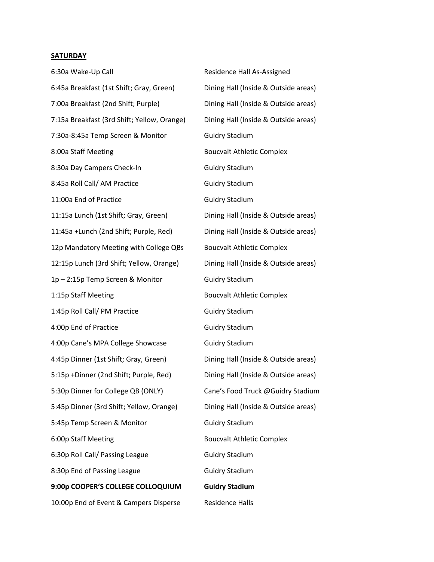## **SATURDAY**

| 6:30a Wake-Up Call                          | Residence Hall As-Assigned           |
|---------------------------------------------|--------------------------------------|
| 6:45a Breakfast (1st Shift; Gray, Green)    | Dining Hall (Inside & Outside areas) |
| 7:00a Breakfast (2nd Shift; Purple)         | Dining Hall (Inside & Outside areas) |
| 7:15a Breakfast (3rd Shift; Yellow, Orange) | Dining Hall (Inside & Outside areas) |
| 7:30a-8:45a Temp Screen & Monitor           | <b>Guidry Stadium</b>                |
| 8:00a Staff Meeting                         | <b>Boucvalt Athletic Complex</b>     |
| 8:30a Day Campers Check-In                  | <b>Guidry Stadium</b>                |
| 8:45a Roll Call/ AM Practice                | <b>Guidry Stadium</b>                |
| 11:00a End of Practice                      | <b>Guidry Stadium</b>                |
| 11:15a Lunch (1st Shift; Gray, Green)       | Dining Hall (Inside & Outside areas) |
| 11:45a +Lunch (2nd Shift; Purple, Red)      | Dining Hall (Inside & Outside areas) |
| 12p Mandatory Meeting with College QBs      | <b>Boucvalt Athletic Complex</b>     |
| 12:15p Lunch (3rd Shift; Yellow, Orange)    | Dining Hall (Inside & Outside areas) |
| 1p-2:15p Temp Screen & Monitor              | <b>Guidry Stadium</b>                |
| 1:15p Staff Meeting                         | <b>Boucvalt Athletic Complex</b>     |
| 1:45p Roll Call/ PM Practice                | <b>Guidry Stadium</b>                |
| 4:00p End of Practice                       | <b>Guidry Stadium</b>                |
| 4:00p Cane's MPA College Showcase           | <b>Guidry Stadium</b>                |
| 4:45p Dinner (1st Shift; Gray, Green)       | Dining Hall (Inside & Outside areas) |
| 5:15p +Dinner (2nd Shift; Purple, Red)      | Dining Hall (Inside & Outside areas) |
| 5:30p Dinner for College QB (ONLY)          | Cane's Food Truck @Guidry Stadium    |
| 5:45p Dinner (3rd Shift; Yellow, Orange)    | Dining Hall (Inside & Outside areas) |
| 5:45p Temp Screen & Monitor                 | <b>Guidry Stadium</b>                |
| 6:00p Staff Meeting                         | <b>Boucvalt Athletic Complex</b>     |
| 6:30p Roll Call/ Passing League             | <b>Guidry Stadium</b>                |
| 8:30p End of Passing League                 | <b>Guidry Stadium</b>                |
|                                             |                                      |
| 9:00p COOPER'S COLLEGE COLLOQUIUM           | <b>Guidry Stadium</b>                |